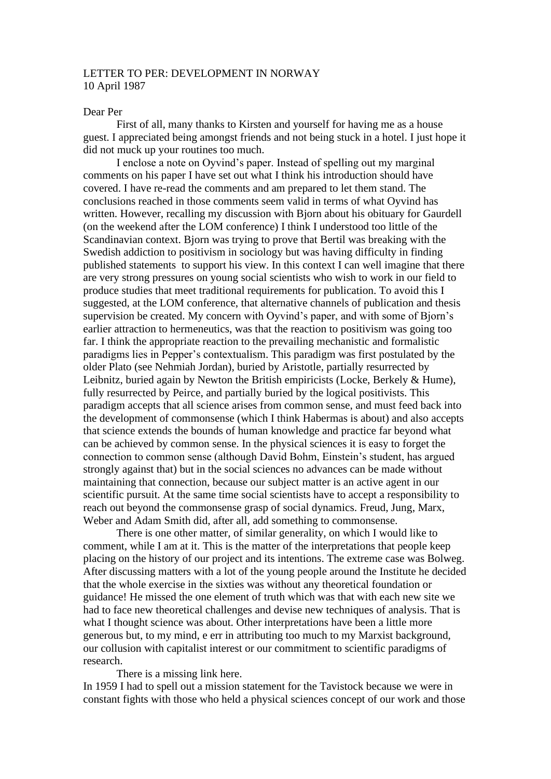## LETTER TO PER: DEVELOPMENT IN NORWAY 10 April 1987

## Dear Per

First of all, many thanks to Kirsten and yourself for having me as a house guest. I appreciated being amongst friends and not being stuck in a hotel. I just hope it did not muck up your routines too much.

I enclose a note on Oyvind's paper. Instead of spelling out my marginal comments on his paper I have set out what I think his introduction should have covered. I have re-read the comments and am prepared to let them stand. The conclusions reached in those comments seem valid in terms of what Oyvind has written. However, recalling my discussion with Bjorn about his obituary for Gaurdell (on the weekend after the LOM conference) I think I understood too little of the Scandinavian context. Bjorn was trying to prove that Bertil was breaking with the Swedish addiction to positivism in sociology but was having difficulty in finding published statements to support his view. In this context I can well imagine that there are very strong pressures on young social scientists who wish to work in our field to produce studies that meet traditional requirements for publication. To avoid this I suggested, at the LOM conference, that alternative channels of publication and thesis supervision be created. My concern with Oyvind's paper, and with some of Bjorn's earlier attraction to hermeneutics, was that the reaction to positivism was going too far. I think the appropriate reaction to the prevailing mechanistic and formalistic paradigms lies in Pepper's contextualism. This paradigm was first postulated by the older Plato (see Nehmiah Jordan), buried by Aristotle, partially resurrected by Leibnitz, buried again by Newton the British empiricists (Locke, Berkely & Hume), fully resurrected by Peirce, and partially buried by the logical positivists. This paradigm accepts that all science arises from common sense, and must feed back into the development of commonsense (which I think Habermas is about) and also accepts that science extends the bounds of human knowledge and practice far beyond what can be achieved by common sense. In the physical sciences it is easy to forget the connection to common sense (although David Bohm, Einstein's student, has argued strongly against that) but in the social sciences no advances can be made without maintaining that connection, because our subject matter is an active agent in our scientific pursuit. At the same time social scientists have to accept a responsibility to reach out beyond the commonsense grasp of social dynamics. Freud, Jung, Marx, Weber and Adam Smith did, after all, add something to commonsense.

There is one other matter, of similar generality, on which I would like to comment, while I am at it. This is the matter of the interpretations that people keep placing on the history of our project and its intentions. The extreme case was Bolweg. After discussing matters with a lot of the young people around the Institute he decided that the whole exercise in the sixties was without any theoretical foundation or guidance! He missed the one element of truth which was that with each new site we had to face new theoretical challenges and devise new techniques of analysis. That is what I thought science was about. Other interpretations have been a little more generous but, to my mind, e err in attributing too much to my Marxist background, our collusion with capitalist interest or our commitment to scientific paradigms of research.

There is a missing link here.

In 1959 I had to spell out a mission statement for the Tavistock because we were in constant fights with those who held a physical sciences concept of our work and those